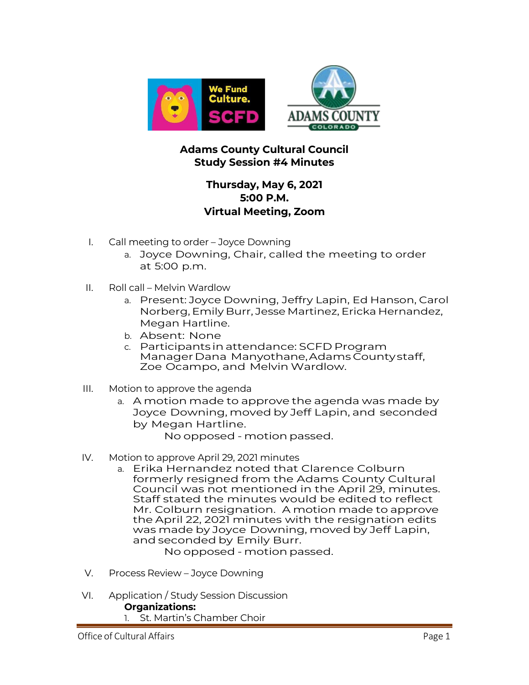

## **Adams County Cultural Council Study Session #4 Minutes**

## **Thursday, May 6, 2021 5:00 P.M. Virtual Meeting, Zoom**

- I. Call meeting to order Joyce Downing
	- a. Joyce Downing, Chair, called the meeting to order at 5:00 p.m.
- II. Roll call Melvin Wardlow
	- a. Present: Joyce Downing, Jeffry Lapin, Ed Hanson, Carol Norberg, Emily Burr, Jesse Martinez, Ericka Hernandez, Megan Hartline.
	- b. Absent: None
	- c. Participants inattendance: SCFD Program ManagerDana Manyothane,Adams Countystaff, Zoe Ocampo, and Melvin Wardlow.
- III. Motion to approve the agenda
	- a. A motion made to approve the agenda was made by Joyce Downing, moved by Jeff Lapin, and seconded by Megan Hartline.

No opposed - motion passed.

- IV. Motion to approve April 29, 2021 minutes
	- a. Erika Hernandez noted that Clarence Colburn formerly resigned from the Adams County Cultural Council was not mentioned in the April 29, minutes. Staff stated the minutes would be edited to reflect Mr. Colburn resignation. A motion made to approve the April 22, 2021 minutes with the resignation edits was made by Joyce Downing, moved by Jeff Lapin, and seconded by Emily Burr.

No opposed - motion passed.

- V. Process Review Joyce Downing
- VI. Application / Study Session Discussion **Organizations:** 1. St. Martin's Chamber Choir